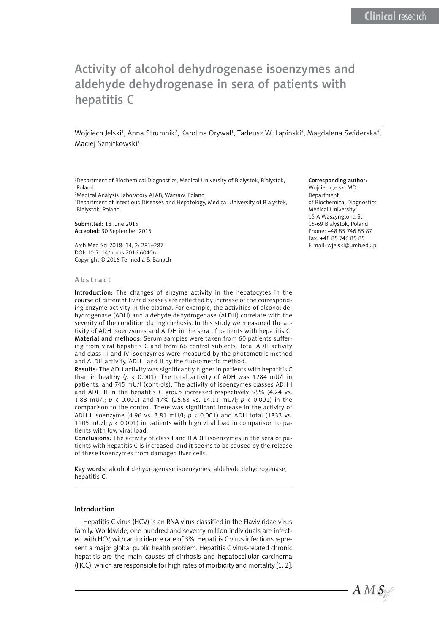# Activity of alcohol dehydrogenase isoenzymes and aldehyde dehydrogenase in sera of patients with hepatitis C

Wojciech Jelski<sup>1</sup>, Anna Strumnik<sup>2</sup>, Karolina Orywal<sup>1</sup>, Tadeusz W. Lapinski<sup>3</sup>, Magdalena Swiderska<sup>3</sup>, Maciej Szmitkowski<sup>1</sup>

1 Department of Biochemical Diagnostics, Medical University of Bialystok, Bialystok, Poland

2 Medical Analysis Laboratory ALAB, Warsaw, Poland

3 Department of Infectious Diseases and Hepatology, Medical University of Bialystok, Bialystok, Poland

Submitted: 18 June 2015 Accepted: 30 September 2015

Arch Med Sci 2018; 14, 2: 281–287 DOI: 10.5114/aoms.2016.60406 Copyright © 2016 Termedia & Banach

#### Abstract

Introduction: The changes of enzyme activity in the hepatocytes in the course of different liver diseases are reflected by increase of the corresponding enzyme activity in the plasma. For example, the activities of alcohol dehydrogenase (ADH) and aldehyde dehydrogenase (ALDH) correlate with the severity of the condition during cirrhosis. In this study we measured the activity of ADH isoenzymes and ALDH in the sera of patients with hepatitis C. Material and methods: Serum samples were taken from 60 patients suffering from viral hepatitis C and from 66 control subjects. Total ADH activity and class III and IV isoenzymes were measured by the photometric method and ALDH activity, ADH I and II by the fluorometric method.

Results: The ADH activity was significantly higher in patients with hepatitis C than in healthy ( $p < 0.001$ ). The total activity of ADH was 1284 mU/l in patients, and 745 mU/l (controls). The activity of isoenzymes classes ADH I and ADH II in the hepatitis C group increased respectively 55% (4.24 vs. 1.88 mU/l; *p* < 0.001) and 47% (26.63 vs. 14.11 mU/l; *p* < 0.001) in the comparison to the control. There was significant increase in the activity of ADH I isoenzyme (4.96 vs. 3.81 mU/l; *p* < 0.001) and ADH total (1833 vs. 1105 mU/l; *p* < 0.001) in patients with high viral load in comparison to patients with low viral load.

Conclusions: The activity of class I and II ADH isoenzymes in the sera of patients with hepatitis C is increased, and it seems to be caused by the release of these isoenzymes from damaged liver cells.

Key words: alcohol dehydrogenase isoenzymes, aldehyde dehydrogenase, hepatitis C.

#### Introduction

Hepatitis C virus (HCV) is an RNA virus classified in the Flaviviridae virus family. Worldwide, one hundred and seventy million individuals are infected with HCV, with an incidence rate of 3%. Hepatitis C virus infections represent a major global public health problem. Hepatitis C virus-related chronic hepatitis are the main causes of cirrhosis and hepatocellular carcinoma (HCC), which are responsible for high rates of morbidity and mortality [1, 2].

#### Corresponding author:

Wojciech Jelski MD Department of Biochemical Diagnostics Medical University 15 A Waszyngtona St 15-69 Bialystok, Poland Phone: +48 85 746 85 87 Fax: +48 85 746 85 85 E-mail: wjelski@umb.edu.pl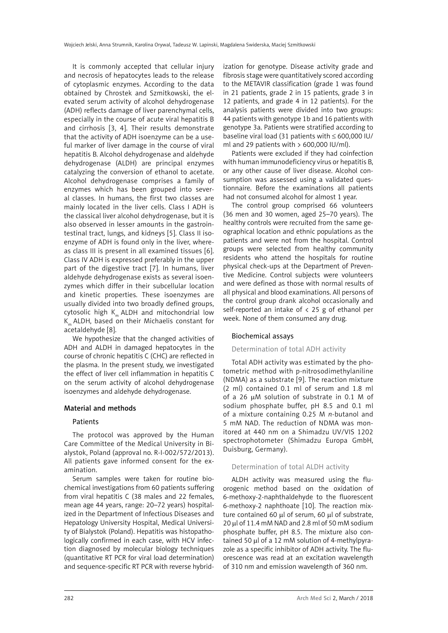It is commonly accepted that cellular injury and necrosis of hepatocytes leads to the release of cytoplasmic enzymes. According to the data obtained by Chrostek and Szmitkowski, the elevated serum activity of alcohol dehydrogenase (ADH) reflects damage of liver parenchymal cells, especially in the course of acute viral hepatitis B and cirrhosis [3, 4]. Their results demonstrate that the activity of ADH isoenzyme can be a useful marker of liver damage in the course of viral hepatitis B. Alcohol dehydrogenase and aldehyde dehydrogenase (ALDH) are principal enzymes catalyzing the conversion of ethanol to acetate. Alcohol dehydrogenase comprises a family of enzymes which has been grouped into several classes. In humans, the first two classes are mainly located in the liver cells. Class I ADH is the classical liver alcohol dehydrogenase, but it is also observed in lesser amounts in the gastrointestinal tract, lungs, and kidneys [5]. Class II isoenzyme of ADH is found only in the liver, whereas class III is present in all examined tissues [6]. Class IV ADH is expressed preferably in the upper part of the digestive tract [7]. In humans, liver aldehyde dehydrogenase exists as several isoenzymes which differ in their subcellular location and kinetic properties. These isoenzymes are usually divided into two broadly defined groups, cytosolic high  $K_m$  ALDH and mitochondrial low  $K_m$  ALDH, based on their Michaelis constant for acetaldehyde [8].

We hypothesize that the changed activities of ADH and ALDH in damaged hepatocytes in the course of chronic hepatitis C (CHC) are reflected in the plasma. In the present study, we investigated the effect of liver cell inflammation in hepatitis C on the serum activity of alcohol dehydrogenase isoenzymes and aldehyde dehydrogenase.

#### Material and methods

#### Patients

The protocol was approved by the Human Care Committee of the Medical University in Bialystok, Poland (approval no. R-I-002/572/2013). All patients gave informed consent for the examination.

Serum samples were taken for routine biochemical investigations from 60 patients suffering from viral hepatitis C (38 males and 22 females, mean age 44 years, range: 20–72 years) hospitalized in the Department of Infectious Diseases and Hepatology University Hospital, Medical University of Bialystok (Poland). Hepatitis was histopathologically confirmed in each case, with HCV infection diagnosed by molecular biology techniques (quantitative RT PCR for viral load determination) and sequence-specific RT PCR with reverse hybridization for genotype. Disease activity grade and fibrosis stage were quantitatively scored according to the METAVIR classification (grade 1 was found in 21 patients, grade 2 in 15 patients, grade 3 in 12 patients, and grade 4 in 12 patients). For the analysis patients were divided into two groups: 44 patients with genotype 1b and 16 patients with genotype 3a. Patients were stratified according to baseline viral load (31 patients with ≤ 600,000 IU/ ml and 29 patients with  $> 600,000$  IU/ml).

Patients were excluded if they had coinfection with human immunodeficiency virus or hepatitis B, or any other cause of liver disease. Alcohol consumption was assessed using a validated questionnaire. Before the examinations all patients had not consumed alcohol for almost 1 year.

The control group comprised 66 volunteers (36 men and 30 women, aged 25–70 years). The healthy controls were recruited from the same geographical location and ethnic populations as the patients and were not from the hospital. Control groups were selected from healthy community residents who attend the hospitals for routine physical check-ups at the Department of Preventive Medicine. Control subjects were volunteers and were defined as those with normal results of all physical and blood examinations. All persons of the control group drank alcohol occasionally and self-reported an intake of  $\langle 25 \rangle$  g of ethanol per week. None of them consumed any drug.

#### Biochemical assays

# Determination of total ADH activity

Total ADH activity was estimated by the photometric method with p-nitrosodimethylaniline (NDMA) as a substrate [9]. The reaction mixture (2 ml) contained 0.1 ml of serum and 1.8 ml of a 26 uM solution of substrate in 0.1 M of sodium phosphate buffer, pH 8.5 and 0.1 ml of a mixture containing 0.25 M *n*-butanol and 5 mM NAD. The reduction of NDMA was monitored at 440 nm on a Shimadzu UV/VIS 1202 spectrophotometer (Shimadzu Europa GmbH, Duisburg, Germany).

# Determination of total ALDH activity

ALDH activity was measured using the fluorogenic method based on the oxidation of 6-methoxy-2-naphthaldehyde to the fluorescent 6-methoxy-2 naphthoate [10]. The reaction mixture contained 60 µl of serum, 60 µl of substrate, 20  $\mu$ l of 11.4 mM NAD and 2.8 ml of 50 mM sodium phosphate buffer, pH 8.5. The mixture also contained 50 µl of a 12 mM solution of 4-methylpyrazole as a specific inhibitor of ADH activity. The fluorescence was read at an excitation wavelength of 310 nm and emission wavelength of 360 nm.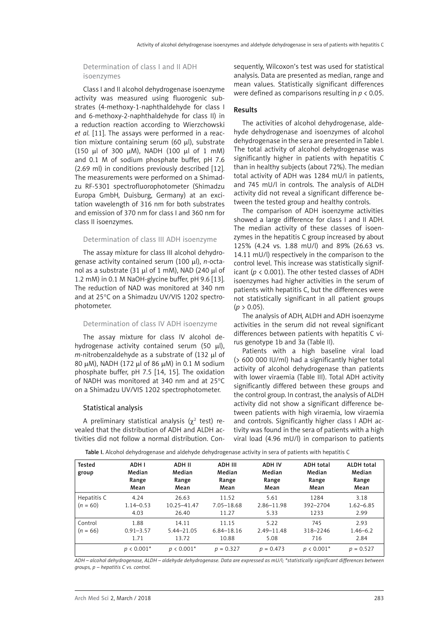#### Determination of class I and II ADH isoenzymes

Class I and II alcohol dehydrogenase isoenzyme activity was measured using fluorogenic substrates (4-methoxy-1-naphthaldehyde for class I and 6-methoxy-2-naphthaldehyde for class II) in a reduction reaction according to Wierzchowski *et al.* [11]. The assays were performed in a reaction mixture containing serum (60  $\mu$ l), substrate (150  $\mu$ l of 300  $\mu$ M), NADH (100  $\mu$ l of 1 mM) and 0.1 M of sodium phosphate buffer, pH 7.6 (2.69 ml) in conditions previously described [12]. The measurements were performed on a Shimadzu RF-5301 spectrofluorophotometer (Shimadzu Europa GmbH, Duisburg, Germany) at an excitation wavelength of 316 nm for both substrates and emission of 370 nm for class I and 360 nm for class II isoenzymes.

#### Determination of class III ADH isoenzyme

The assay mixture for class III alcohol dehydrogenase activity contained serum (100 ml), *n*-octanol as a substrate (31  $\mu$ l of 1 mM), NAD (240  $\mu$ l of 1.2 mM) in 0.1 M NaOH-glycine buffer, pH 9.6 [13]. The reduction of NAD was monitored at 340 nm and at 25°C on a Shimadzu UV/VIS 1202 spectrophotometer.

#### Determination of class IV ADH isoenzyme

The assay mixture for class IV alcohol dehydrogenase activity contained serum (50  $\mu$ l), *m*-nitrobenzaldehyde as a substrate of (132 ml of 80 μM), NADH (172 μl of 86 μM) in 0.1 M sodium phosphate buffer, pH 7.5 [14, 15]. The oxidation of NADH was monitored at 340 nm and at 25°C on a Shimadzu UV/VIS 1202 spectrophotometer.

### Statistical analysis

A preliminary statistical analysis ( $\chi^2$  test) revealed that the distribution of ADH and ALDH activities did not follow a normal distribution. Con-

sequently, Wilcoxon's test was used for statistical analysis. Data are presented as median, range and mean values. Statistically significant differences were defined as comparisons resulting in *p* < 0.05.

### Results

The activities of alcohol dehydrogenase, aldehyde dehydrogenase and isoenzymes of alcohol dehydrogenase in the sera are presented in Table I. The total activity of alcohol dehydrogenase was significantly higher in patients with hepatitis C than in healthy subjects (about 72%). The median total activity of ADH was 1284 mU/l in patients, and 745 mU/l in controls. The analysis of ALDH activity did not reveal a significant difference between the tested group and healthy controls.

The comparison of ADH isoenzyme activities showed a large difference for class I and II ADH. The median activity of these classes of isoenzymes in the hepatitis C group increased by about 125% (4.24 vs. 1.88 mU/l) and 89% (26.63 vs. 14.11 mU/l) respectively in the comparison to the control level. This increase was statistically significant ( $p < 0.001$ ). The other tested classes of ADH isoenzymes had higher activities in the serum of patients with hepatitis C, but the differences were not statistically significant in all patient groups  $(p > 0.05)$ .

The analysis of ADH, ALDH and ADH isoenzyme activities in the serum did not reveal significant differences between patients with hepatitis C virus genotype 1b and 3a (Table II).

Patients with a high baseline viral load (> 600 000 IU/ml) had a significantly higher total activity of alcohol dehydrogenase than patients with lower viraemia (Table III). Total ADH activity significantly differed between these groups and the control group. In contrast, the analysis of ALDH activity did not show a significant difference between patients with high viraemia, low viraemia and controls. Significantly higher class I ADH activity was found in the sera of patients with a high viral load (4.96 mU/l) in comparison to patients

| <b>Tested</b><br>group    | ADH I<br>Median<br>Range<br>Mean | ADH II<br>Median<br>Range<br>Mean | ADH III<br>Median<br>Range<br>Mean | <b>ADH IV</b><br>Median<br>Range<br>Mean | <b>ADH</b> total<br>Median<br>Range<br>Mean | <b>ALDH</b> total<br>Median<br>Range<br>Mean |
|---------------------------|----------------------------------|-----------------------------------|------------------------------------|------------------------------------------|---------------------------------------------|----------------------------------------------|
| Hepatitis C<br>$(n = 60)$ | 4.24<br>$1.14 - 0.53$<br>4.03    | 26.63<br>10.25-41.47<br>26.40     | 11.52<br>7.05-18.68<br>11.27       | 5.61<br>$2.86 - 11.98$<br>5.33           | 1284<br>392-2704<br>1233                    | 3.18<br>$1.62 - 6.85$<br>2.99                |
| Control<br>$(n = 66)$     | 1.88<br>$0.91 - 3.57$<br>1.71    | 14.11<br>5.44-21.05<br>13.72      | 11.15<br>$6.84 - 18.16$<br>10.88   | 5.22<br>$2.49 - 11.48$<br>5.08           | 745<br>318-2246<br>716                      | 2.93<br>$1.46 - 6.2$<br>2.84                 |
|                           | $p < 0.001*$                     | $p < 0.001*$                      | $p = 0.327$                        | $p = 0.473$                              | $p < 0.001*$                                | $p = 0.527$                                  |

Table I. Alcohol dehydrogenase and aldehyde dehydrogenase activity in sera of patients with hepatitis C

*ADH – alcohol dehydrogenase, ALDH – aldehyde dehydrogenase. Data are expressed as mU/l; \*statistically significant differences between groups, p – hepatitis C vs. control.*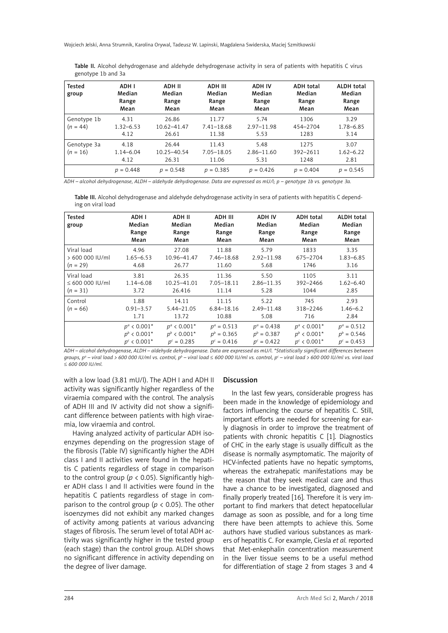Wojciech Jelski, Anna Strumnik, Karolina Orywal, Tadeusz W. Lapinski, Magdalena Swiderska, Maciej Szmitkowski

Table II. Alcohol dehydrogenase and aldehyde dehydrogenase activity in sera of patients with hepatitis C virus genotype 1b and 3a

| Tested<br>group           | ADH I<br>Median<br>Range<br>Mean | ADH II<br>Median<br>Range<br>Mean | ADH III<br>Median<br>Range<br>Mean | <b>ADH IV</b><br>Median<br>Range<br>Mean | <b>ADH</b> total<br>Median<br>Range<br>Mean | <b>ALDH</b> total<br>Median<br>Range<br>Mean |
|---------------------------|----------------------------------|-----------------------------------|------------------------------------|------------------------------------------|---------------------------------------------|----------------------------------------------|
| Genotype 1b<br>$(n = 44)$ | 4.31<br>$1.32 - 6.53$<br>4.12    | 26.86<br>10.62-41.47<br>26.61     | 11.77<br>$7.41 - 18.68$<br>11.38   | 5.74<br>$2.97 - 11.98$<br>5.53           | 1306<br>454-2704<br>1283                    | 3.29<br>1.78-6.85<br>3.14                    |
| Genotype 3a<br>$(n = 16)$ | 4.18<br>$1.14 - 6.04$<br>4.12    | 26.44<br>10.25-40.54<br>26.31     | 11.43<br>7.05-18.05<br>11.06       | 5.48<br>$2.86 - 11.60$<br>5.31           | 1275<br>392-2611<br>1248                    | 3.07<br>$1.62 - 6.22$<br>2.81                |
|                           | $p = 0.448$                      | $p = 0.548$                       | $p = 0.385$                        | $p = 0.426$                              | $p = 0.404$                                 | $p = 0.545$                                  |

*ADH – alcohol dehydrogenase, ALDH – aldehyde dehydrogenase. Data are expressed as mU/l; p – genotype 1b vs. genotype 3a.*

Table III. Alcohol dehydrogenase and aldehyde dehydrogenase activity in sera of patients with hepatitis C depending on viral load

| <b>Tested</b><br>group                                                                                                                                                                                                                                                                                                                                                                                                | ADH I<br>Median<br>Range<br>Mean | ADH II<br>Median<br>Range<br>Mean | ADH III<br>Median<br>Range<br>Mean | <b>ADH IV</b><br>Median<br>Range<br>Mean | <b>ADH</b> total<br>Median<br>Range<br>Mean | <b>ALDH</b> total<br>Median<br>Range<br>Mean |
|-----------------------------------------------------------------------------------------------------------------------------------------------------------------------------------------------------------------------------------------------------------------------------------------------------------------------------------------------------------------------------------------------------------------------|----------------------------------|-----------------------------------|------------------------------------|------------------------------------------|---------------------------------------------|----------------------------------------------|
| Viral load                                                                                                                                                                                                                                                                                                                                                                                                            | 4.96                             | 27.08                             | 11.88                              | 5.79                                     | 1833                                        | 3.35                                         |
| > 600 000 IU/ml                                                                                                                                                                                                                                                                                                                                                                                                       | $1.65 - 6.53$                    | 10.96-41.47                       | 7.46-18.68                         | $2.92 - 11.98$                           | 675-2704                                    | $1.83 - 6.85$                                |
| $(n = 29)$                                                                                                                                                                                                                                                                                                                                                                                                            | 4.68                             | 26.77                             | 11.60                              | 5.68                                     | 1746                                        | 3.16                                         |
| Viral load                                                                                                                                                                                                                                                                                                                                                                                                            | 3.81                             | 26.35                             | 11.36                              | 5.50                                     | 1105                                        | 3.11                                         |
| $\leq 600000$ IU/ml                                                                                                                                                                                                                                                                                                                                                                                                   | $1.14 - 6.08$                    | 10.25-41.01                       | 7.05-18.11                         | $2.86 - 11.35$                           | 392-2466                                    | $1.62 - 6.40$                                |
| $(n = 31)$                                                                                                                                                                                                                                                                                                                                                                                                            | 3.72                             | 26.416                            | 11.14                              | 5.28                                     | 1044                                        | 2.85                                         |
| Control<br>$(n = 66)$                                                                                                                                                                                                                                                                                                                                                                                                 | 1.88<br>$0.91 - 3.57$<br>1.71    | 14.11<br>5.44-21.05<br>13.72      | 11.15<br>$6.84 - 18.16$<br>10.88   | 5.22<br>$2.49 - 11.48$<br>5.08           | 745<br>318-2246<br>716                      | 2.93<br>$1.46 - 6.2$<br>2.84                 |
| $\mathcal{L} = \{ \mathbf{L} \mathbf{L} \mathbf{L} \mathbf{L} \mathbf{L} \mathbf{L} \mathbf{L} \mathbf{L} \mathbf{L} \mathbf{L} \mathbf{L} \mathbf{L} \mathbf{L} \mathbf{L} \mathbf{L} \mathbf{L} \mathbf{L} \mathbf{L} \mathbf{L} \mathbf{L} \mathbf{L} \mathbf{L} \mathbf{L} \mathbf{L} \mathbf{L} \mathbf{L} \mathbf{L} \mathbf{L} \mathbf{L} \mathbf{L} \mathbf{L} \mathbf{L} \mathbf{L} \mathbf{L} \mathbf{L} \$ | $p^a$ < 0.001*                   | $p^a$ < 0.001*                    | $p^a = 0.513$                      | $p^a = 0.438$                            | $p^a$ < 0.001*                              | $p^a = 0.512$                                |
|                                                                                                                                                                                                                                                                                                                                                                                                                       | $p^b$ < 0.001*                   | $p^b$ < 0.001*                    | $p^b = 0.365$                      | $p^b = 0.387$                            | $p^b$ < 0.001*                              | $p^b = 0.546$                                |
|                                                                                                                                                                                                                                                                                                                                                                                                                       | $p^{c}$ < 0.001*                 | $p^c = 0.285$                     | $p^c = 0.416$                      | $p^c = 0.422$                            | $p^{c}$ < 0.001*                            | $p^c = 0.453$                                |

*ADH – alcohol dehydrogenase, ALDH – aldehyde dehydrogenase. Data are expressed as mU/l. \*Statistically significant differences between groups, pª – viral load > 600 000 IU/ml vs. control, p<sup>b</sup> – viral load ≤ 600 000 IU/ml vs. control, p<sup>c</sup> – viral load > 600 000 IU/ml vs. viral load* ≤ *600 000 IU/ml.*

with a low load (3.81 mU/l). The ADH I and ADH II activity was significantly higher regardless of the viraemia compared with the control. The analysis of ADH III and IV activity did not show a significant difference between patients with high viraemia, low viraemia and control.

Having analyzed activity of particular ADH isoenzymes depending on the progression stage of the fibrosis (Table IV) significantly higher the ADH class I and II activities were found in the hepatitis C patients regardless of stage in comparison to the control group ( $p < 0.05$ ). Significantly higher ADH class I and II activities were found in the hepatitis C patients regardless of stage in comparison to the control group ( $p < 0.05$ ). The other isoenzymes did not exhibit any marked changes of activity among patients at various advancing stages of fibrosis. The serum level of total ADH activity was significantly higher in the tested group (each stage) than the control group. ALDH shows no significant difference in activity depending on the degree of liver damage.

# Discussion

In the last few years, considerable progress has been made in the knowledge of epidemiology and factors influencing the course of hepatitis C. Still, important efforts are needed for screening for early diagnosis in order to improve the treatment of patients with chronic hepatitis C [1]. Diagnostics of CHC in the early stage is usually difficult as the disease is normally asymptomatic. The majority of HCV-infected patients have no hepatic symptoms, whereas the extrahepatic manifestations may be the reason that they seek medical care and thus have a chance to be investigated, diagnosed and finally properly treated [16]. Therefore it is very important to find markers that detect hepatocellular damage as soon as possible, and for a long time there have been attempts to achieve this. Some authors have studied various substances as markers of hepatitis C. For example, Ciesla *et al.* reported that Met-enkephalin concentration measurement in the liver tissue seems to be a useful method for differentiation of stage 2 from stages 3 and 4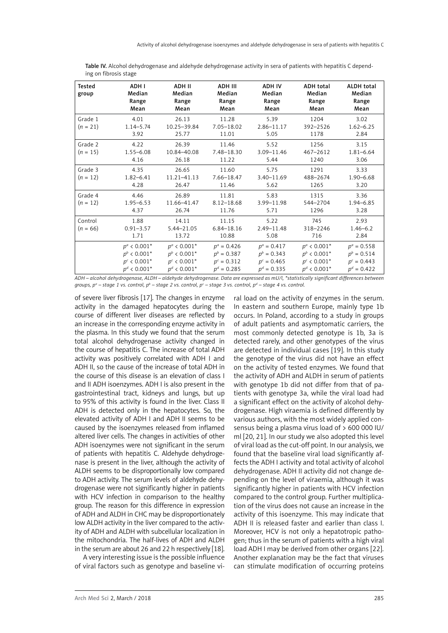| <b>Tested</b><br>group | ADH I<br>Median<br>Range<br>Mean                                       | <b>ADH II</b><br>Median<br>Range<br>Mean                               | ADH III<br>Median<br>Range<br>Mean                               | <b>ADH IV</b><br>Median<br>Range<br>Mean                         | <b>ADH total</b><br>Median<br>Range<br>Mean                            | <b>ALDH</b> total<br>Median<br>Range<br>Mean                     |
|------------------------|------------------------------------------------------------------------|------------------------------------------------------------------------|------------------------------------------------------------------|------------------------------------------------------------------|------------------------------------------------------------------------|------------------------------------------------------------------|
| Grade 1                | 4.01                                                                   | 26.13                                                                  | 11.28                                                            | 5.39                                                             | 1204                                                                   | 3.02                                                             |
| $(n = 21)$             | $1.14 - 5.74$<br>3.92                                                  | 10.25-39.84<br>25.77                                                   | $7.05 - 18.02$<br>11.01                                          | $2.86 - 11.17$<br>5.05                                           | 392-2526<br>1178                                                       | $1.62 - 6.25$<br>2.84                                            |
| Grade 2<br>$(n = 15)$  | 4.22<br>$1.55 - 6.08$<br>4.16                                          | 26.39<br>10.84-40.08<br>26.18                                          | 11.46<br>7.48-18.30<br>11.22                                     | 5.52<br>3.09-11.46<br>5.44                                       | 1256<br>467-2612<br>1240                                               | 3.15<br>$1.81 - 6.64$<br>3.06                                    |
| Grade 3<br>$(n = 12)$  | 4.35<br>$1.82 - 6.41$<br>4.28                                          | 26.65<br>11.21-41.13<br>26.47                                          | 11.60<br>7.66-18.47<br>11.46                                     | 5.75<br>$3.40 - 11.69$<br>5.62                                   | 1291<br>488-2674<br>1265                                               | 3.33<br>$1.90 - 6.68$<br>3.20                                    |
| Grade 4<br>$(n = 12)$  | 4.46<br>$1.95 - 6.53$<br>4.37                                          | 26.89<br>11.66-41.47<br>26.74                                          | 11.81<br>$8.12 - 18.68$<br>11.76                                 | 5.83<br>3.99-11.98<br>5.71                                       | 1315<br>544-2704<br>1296                                               | 3.36<br>$1.94 - 6.85$<br>3.28                                    |
| Control<br>$(n = 66)$  | 1.88<br>$0.91 - 3.57$<br>1.71                                          | 14.11<br>5.44-21.05<br>13.72                                           | 11.15<br>$6.84 - 18.16$<br>10.88                                 | 5.22<br>$2.49 - 11.48$<br>5.08                                   | 745<br>318-2246<br>716                                                 | 2.93<br>$1.46 - 6.2$<br>2.84                                     |
|                        | $p^a$ < 0.001*<br>$p^b$ < 0.001*<br>$p^{c}$ < 0.001*<br>$p^d$ < 0.001* | $p^a$ < 0.001*<br>$p^b$ < 0.001*<br>$p^{c}$ < 0.001*<br>$p^d$ < 0.001* | $p^a = 0.426$<br>$p^b = 0.387$<br>$p^c = 0.312$<br>$p^d = 0.285$ | $p^a = 0.417$<br>$p^b = 0.343$<br>$p^c = 0.465$<br>$p^d = 0.335$ | $p^a$ < 0.001*<br>$p^b$ < 0.001*<br>$p^{c}$ < 0.001*<br>$p^d$ < 0.001* | $p^a = 0.558$<br>$p^b = 0.514$<br>$p^c = 0.443$<br>$p^d = 0.422$ |

Table IV. Alcohol dehydrogenase and aldehyde dehydrogenase activity in sera of patients with hepatitis C depending on fibrosis stage

*ADH – alcohol dehydrogenase, ALDH – aldehyde dehydrogenase. Data are expressed as mU/l, \*statistically significant differences between*  groups, pª – stage 1 vs. control, pʰ – stage 2 vs. control, pˁ – stage 3 vs. control, pª – stage 4 vs. control.

of severe liver fibrosis [17]. The changes in enzyme activity in the damaged hepatocytes during the course of different liver diseases are reflected by an increase in the corresponding enzyme activity in the plasma. In this study we found that the serum total alcohol dehydrogenase activity changed in the course of hepatitis C. The increase of total ADH activity was positively correlated with ADH I and ADH II, so the cause of the increase of total ADH in the course of this disease is an elevation of class I and II ADH isoenzymes. ADH I is also present in the gastrointestinal tract, kidneys and lungs, but up to 95% of this activity is found in the liver. Class II ADH is detected only in the hepatocytes. So, the elevated activity of ADH I and ADH II seems to be caused by the isoenzymes released from inflamed altered liver cells. The changes in activities of other ADH isoenzymes were not significant in the serum of patients with hepatitis C. Aldehyde dehydrogenase is present in the liver, although the activity of ALDH seems to be disproportionally low compared to ADH activity. The serum levels of aldehyde dehydrogenase were not significantly higher in patients with HCV infection in comparison to the healthy group. The reason for this difference in expression of ADH and ALDH in CHC may be disproportionately low ALDH activity in the liver compared to the activity of ADH and ALDH with subcellular localization in the mitochondria. The half-lives of ADH and ALDH in the serum are about 26 and 22 h respectively [18].

A very interesting issue is the possible influence of viral factors such as genotype and baseline vi-

ral load on the activity of enzymes in the serum. In eastern and southern Europe, mainly type 1b occurs. In Poland, according to a study in groups of adult patients and asymptomatic carriers, the most commonly detected genotype is 1b, 3a is detected rarely, and other genotypes of the virus are detected in individual cases [19]. In this study the genotype of the virus did not have an effect on the activity of tested enzymes. We found that the activity of ADH and ALDH in serum of patients with genotype 1b did not differ from that of patients with genotype 3a, while the viral load had a significant effect on the activity of alcohol dehydrogenase. High viraemia is defined differently by various authors, with the most widely applied consensus being a plasma virus load of > 600 000 IU/ ml [20, 21]. In our study we also adopted this level of viral load as the cut-off point. In our analysis, we found that the baseline viral load significantly affects the ADH I activity and total activity of alcohol dehydrogenase. ADH II activity did not change depending on the level of viraemia, although it was significantly higher in patients with HCV infection compared to the control group. Further multiplication of the virus does not cause an increase in the activity of this isoenzyme. This may indicate that ADH II is released faster and earlier than class I. Moreover, HCV is not only a hepatotropic pathogen; thus in the serum of patients with a high viral load ADH I may be derived from other organs [22]. Another explanation may be the fact that viruses can stimulate modification of occurring proteins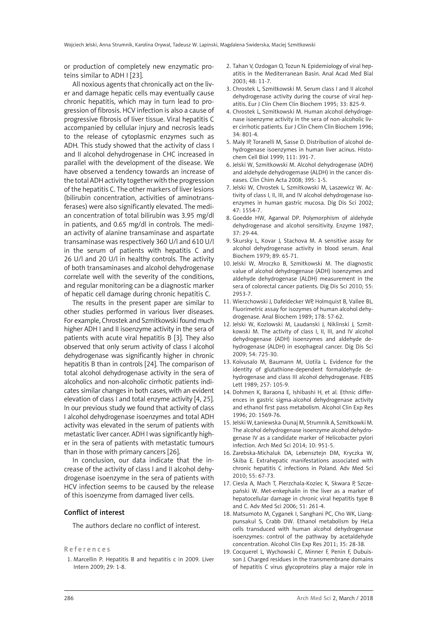or production of completely new enzymatic proteins similar to ADH I [23].

All noxious agents that chronically act on the liver and damage hepatic cells may eventually cause chronic hepatitis, which may in turn lead to progression of fibrosis. HCV infection is also a cause of progressive fibrosis of liver tissue. Viral hepatitis C accompanied by cellular injury and necrosis leads to the release of cytoplasmic enzymes such as ADH. This study showed that the activity of class I and II alcohol dehydrogenase in CHC increased in parallel with the development of the disease. We have observed a tendency towards an increase of the total ADH activity together with the progression of the hepatitis C. The other markers of liver lesions (bilirubin concentration, activities of aminotransferases) were also significantly elevated. The median concentration of total bilirubin was 3.95 mg/dl in patients, and 0.65 mg/dl in controls. The median activity of alanine transaminase and aspartate transaminase was respectively 360 U/l and 610 U/l in the serum of patients with hepatitis C and 26 U/l and 20 U/l in healthy controls. The activity of both transaminases and alcohol dehydrogenase correlate well with the severity of the conditions, and regular monitoring can be a diagnostic marker of hepatic cell damage during chronic hepatitis C.

The results in the present paper are similar to other studies performed in various liver diseases. For example, Chrostek and Szmitkowski found much higher ADH I and II isoenzyme activity in the sera of patients with acute viral hepatitis B [3]. They also observed that only serum activity of class I alcohol dehydrogenase was significantly higher in chronic hepatitis B than in controls [24]. The comparison of total alcohol dehydrogenase activity in the sera of alcoholics and non-alcoholic cirrhotic patients indicates similar changes in both cases, with an evident elevation of class I and total enzyme activity [4, 25]. In our previous study we found that activity of class I alcohol dehydrogenase isoenzymes and total ADH activity was elevated in the serum of patients with metastatic liver cancer. ADH I was significantly higher in the sera of patients with metastatic tumours than in those with primary cancers [26].

In conclusion, our data indicate that the increase of the activity of class I and II alcohol dehydrogenase isoenzyme in the sera of patients with HCV infection seems to be caused by the release of this isoenzyme from damaged liver cells.

#### Conflict of interest

The authors declare no conflict of interest.

#### References

1. Marcellin P. Hepatitis B and hepatitis c in 2009. Liver Intern 2009; 29: 1-8.

- 2. Tahan V, Ozdogan O, Tozun N. Epidemiology of viral hepatitis in the Mediterranean Basin. Anal Acad Med Bial 2003; 48: 11-7.
- 3. Chrostek L, Szmitkowski M. Serum class I and II alcohol dehydrogenase activity during the course of viral hepatitis. Eur J Clin Chem Clin Biochem 1995; 33: 825-9.
- 4. Chrostek L, Szmitkowski M. Human alcohol dehydrogenase isoenzyme activity in the sera of non-alcoholic liver cirrhotic patients. Eur J Clin Chem Clin Biochem 1996; 34: 801-4.
- 5. Maly IP, Toranelli M, Sasse D. Distribution of alcohol dehydrogenase isoenzymes in human liver acinus. Histochem Cell Biol 1999; 111: 391-7.
- 6. Jelski W, Szmitkowski M. Alcohol dehydrogenase (ADH) and aldehyde dehydrogemase (ALDH) in the cancer diseases. Clin Chim Acta 2008; 395: 1-5.
- 7. Jelski W, Chrostek L, Szmitkowski M, Laszewicz W. Activity of class I, II, III, and IV alcohol dehydrogenase isoenzymes in human gastric mucosa. Dig Dis Sci 2002; 47: 1554-7.
- 8. Goedde HW, Agarwal DP. Polymorphism of aldehyde dehydrogenase and alcohol sensitivity. Enzyme 1987; 37: 29-44.
- 9. Skursky L, Kovar J, Stachova M. A sensitive assay for alcohol dehydrogenase activity in blood serum. Anal Biochem 1979; 89: 65-71.
- 10. Jelski W, Mroczko B, Szmitkowski M. The diagnostic value of alcohol dehydrogenase (ADH) isoenzymes and aldehyde dehydrogenase (ALDH) measurement in the sera of colorectal cancer patients. Dig Dis Sci 2010; 55: 2953-7.
- 11. Wierzchowski J, Dafeldecker WP, Holmquist B, Vallee BL. Fluorimetric assay for isozymes of human alcohol dehydrogenase. Anal Biochem 1989; 178: 57-62.
- 12. Jelski W, Kozlowski M, Laudanski J, Niklinski J, Szmitkowski M. The activity of class I, II, III, and IV alcohol dehydrogenase (ADH) isoenzymes and aldehyde dehydrogenase (ALDH) in esophageal cancer. Dig Dis Sci 2009; 54: 725-30.
- 13. Koivusalo M, Baumann M, Uotila L. Evidence for the identity of glutathione-dependent formaldehyde dehydrogenase and class III alcohol dehydrogenase. FEBS Lett 1989; 257: 105-9.
- 14. Dohmen K, Baraona E, Ishibashi H, et al. Ethnic differences in gastric sigma-alcohol dehydrogenase activity and ethanol first pass metabolism. Alcohol Clin Exp Res 1996; 20: 1569-76.
- 15. Jelski W, Łaniewska-Dunaj M, Strumnik A, Szmitkowki M. The alcohol dehydrogenase isoenzyme alcohol dehydrogenase IV as a candidate marker of Helicobacter pylori infection. Arch Med Sci 2014; 10: 951-5.
- 16. Zarebska-Michaluk DA, Lebensztejn DM, Kryczka W, Skiba E. Extrahepatic manifestations associated with chronic hepatitis C infections in Poland. Adv Med Sci 2010; 55: 67-73.
- 17. Ciesla A, Mach T, Pierzchala-Koziec K, Skwara P, Szczepański W. Met-enkephalin in the liver as a marker of hepatocellular damage in chronic viral hepatitis type B and C. Adv Med Sci 2006; 51: 261-4.
- 18. Matsumoto M, Cyganek I, Sanghani PC, Cho WK, Liangpunsakul S, Crabb DW. Ethanol metabolism by HeLa cells transduced with human alcohol dehydrogenase isoenzymes: control of the pathway by acetaldehyde concentration. Alcohol Clin Exp Res 2011; 35: 28-38.
- 19. Cocquerel L, Wychowski C, Minner F, Penin F, Dubuisson J. Charged residues in the transmembrane domains of hepatitis C virus glycoproteins play a major role in